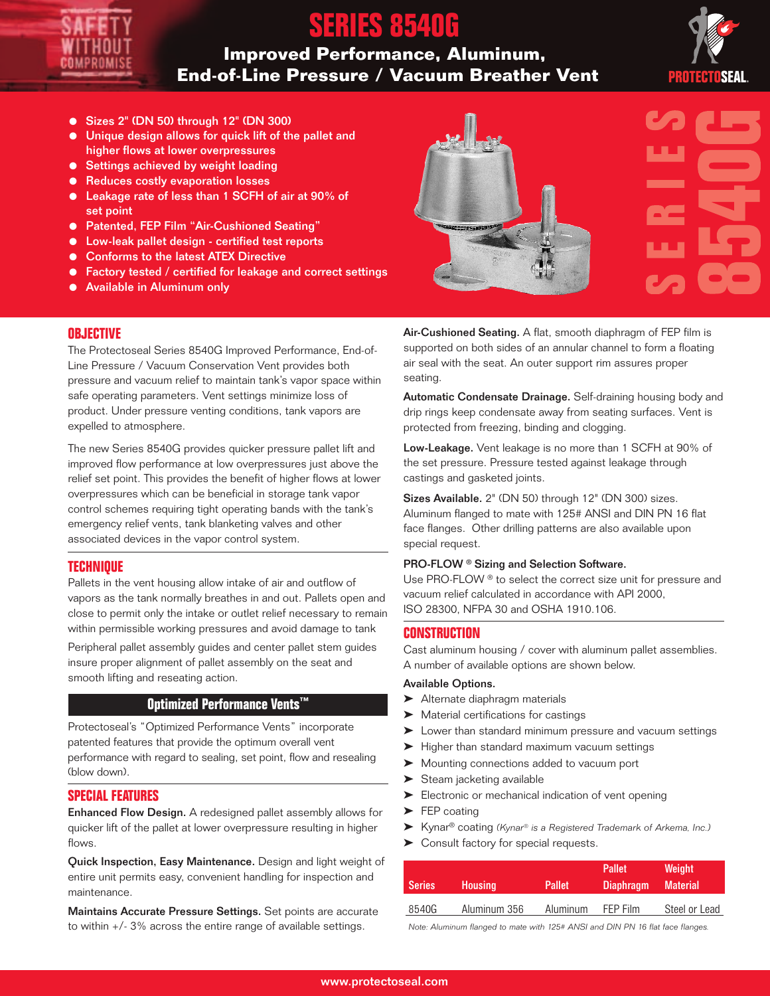# **SERIES 8540G**

## **Improved Performance, Aluminum, End-of-Line Pressure / Vacuum Breather Vent**



- Sizes 2" (DN 50) through 12" (DN 300)
- Unique design allows for quick lift of the pallet and higher flows at lower overpressures
- Settings achieved by weight loading
- Reduces costly evaporation losses
- Leakage rate of less than 1 SCFH of air at 90% of set point
- Patented, FEP Film "Air-Cushioned Seating"
- Low-leak pallet design certified test reports
- Conforms to the latest ATEX Directive
- Factory tested / certified for leakage and correct settings
- Available in Aluminum only

# **Centralist**

### **OBJECTIVE**

The Protectoseal Series 8540G Improved Performance, End-of-Line Pressure / Vacuum Conservation Vent provides both pressure and vacuum relief to maintain tank's vapor space within safe operating parameters. Vent settings minimize loss of product. Under pressure venting conditions, tank vapors are expelled to atmosphere.

The new Series 8540G provides quicker pressure pallet lift and improved flow performance at low overpressures just above the relief set point. This provides the benefit of higher flows at lower overpressures which can be beneficial in storage tank vapor control schemes requiring tight operating bands with the tank's emergency relief vents, tank blanketing valves and other associated devices in the vapor control system.

### **TECHNIQUE**

Pallets in the vent housing allow intake of air and outflow of vapors as the tank normally breathes in and out. Pallets open and close to permit only the intake or outlet relief necessary to remain within permissible working pressures and avoid damage to tank

Peripheral pallet assembly guides and center pallet stem guides insure proper alignment of pallet assembly on the seat and smooth lifting and reseating action.

### **Optimized Performance Vents™**

Protectoseal's "Optimized Performance Vents" incorporate patented features that provide the optimum overall vent performance with regard to sealing, set point, flow and resealing (blow down).

### **SPECIAL FEATURES**

Enhanced Flow Design. A redesigned pallet assembly allows for quicker lift of the pallet at lower overpressure resulting in higher flows.

Quick Inspection, Easy Maintenance. Design and light weight of entire unit permits easy, convenient handling for inspection and maintenance.

Maintains Accurate Pressure Settings. Set points are accurate to within +/- 3% across the entire range of available settings.

Air-Cushioned Seating. A flat, smooth diaphragm of FEP film is supported on both sides of an annular channel to form a floating air seal with the seat. An outer support rim assures proper seating.

Automatic Condensate Drainage. Self-draining housing body and drip rings keep condensate away from seating surfaces. Vent is protected from freezing, binding and clogging.

Low-Leakage. Vent leakage is no more than 1 SCFH at 90% of the set pressure. Pressure tested against leakage through castings and gasketed joints.

Sizes Available. 2" (DN 50) through 12" (DN 300) sizes. Aluminum flanged to mate with 125# ANSI and DIN PN 16 flat face flanges. Other drilling patterns are also available upon special request.

### PRO-FLOW ® Sizing and Selection Software.

Use PRO-FLOW ® to select the correct size unit for pressure and vacuum relief calculated in accordance with API 2000, ISO 28300, NFPA 30 and OSHA 1910.106.

### **CONSTRUCTION**

Cast aluminum housing / cover with aluminum pallet assemblies. A number of available options are shown below.

### Available Options.

- ‰ Alternate diaphragm materials
- ▶ Material certifications for castings
- ▶ Lower than standard minimum pressure and vacuum settings
- ▶ Higher than standard maximum vacuum settings
- ▶ Mounting connections added to vacuum port
- $\blacktriangleright$  Steam jacketing available
- ► Electronic or mechanical indication of vent opening
- $\blacktriangleright$  FEP coating
- ▶ Kynar<sup>®</sup> coating (Kynar® is a Registered Trademark of Arkema, Inc.)
- ▶ Consult factory for special requests.

| <b>Series</b> | <b>Housing</b> | <b>Pallet</b> | <b>Pallet</b><br><b>Diaphragm</b> | Weight<br><b>Material</b> |  |
|---------------|----------------|---------------|-----------------------------------|---------------------------|--|
| 8540G         | Aluminum 356   | Aluminum      | FFP Film                          | Steel or Lead             |  |

Note: Aluminum flanged to mate with 125# ANSI and DIN PN 16 flat face flanges.